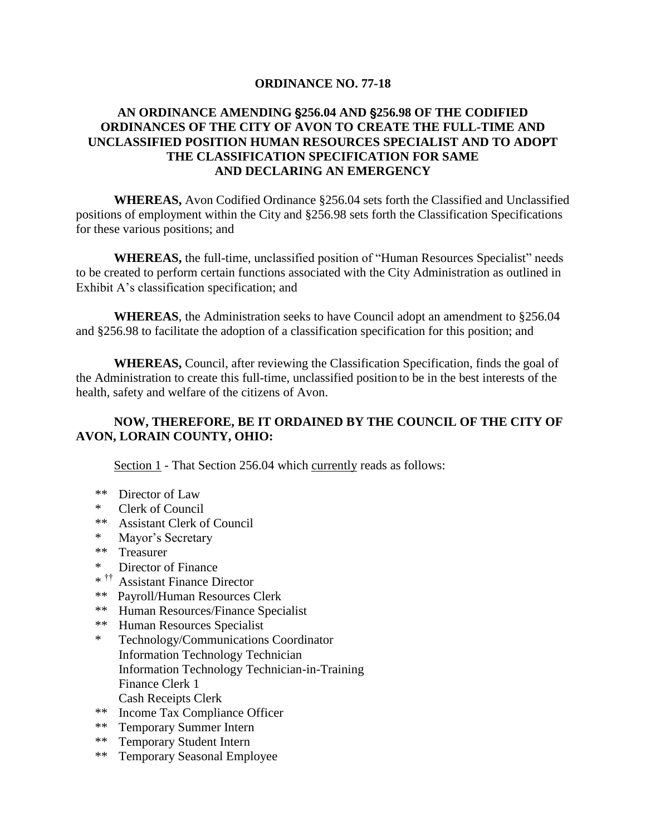## **ORDINANCE NO. 77-18**

## **AN ORDINANCE AMENDING** '**256.04 AND** '**256.98 OF THE CODIFIED ORDINANCES OF THE CITY OF AVON TO CREATE THE FULL-TIME AND UNCLASSIFIED POSITION HUMAN RESOURCES SPECIALIST AND TO ADOPT THE CLASSIFICATION SPECIFICATION FOR SAME AND DECLARING AN EMERGENCY**

**WHEREAS,** Avon Codified Ordinance §256.04 sets forth the Classified and Unclassified positions of employment within the City and §256.98 sets forth the Classification Specifications for these various positions; and

**WHEREAS,** the full-time, unclassified position of "Human Resources Specialist" needs to be created to perform certain functions associated with the City Administration as outlined in Exhibit A's classification specification; and

**WHEREAS**, the Administration seeks to have Council adopt an amendment to §256.04 and §256.98 to facilitate the adoption of a classification specification for this position; and

**WHEREAS,** Council, after reviewing the Classification Specification, finds the goal of the Administration to create this full-time, unclassified position to be in the best interests of the health, safety and welfare of the citizens of Avon.

## **NOW, THEREFORE, BE IT ORDAINED BY THE COUNCIL OF THE CITY OF AVON, LORAIN COUNTY, OHIO:**

Section 1 - That Section 256.04 which currently reads as follows:

- \*\* Director of Law
- \* Clerk of Council
- \*\* Assistant Clerk of Council
- \* Mayor's Secretary
- \*\* Treasurer
- \* Director of Finance
- \* †† Assistant Finance Director
- \*\* Payroll/Human Resources Clerk
- \*\* Human Resources/Finance Specialist
- \*\* Human Resources Specialist
- \* Technology/Communications Coordinator Information Technology Technician Information Technology Technician-in-Training Finance Clerk 1 Cash Receipts Clerk
- \*\* Income Tax Compliance Officer<br>\*\* Temporary Summer Intern
- Temporary Summer Intern
- \*\* Temporary Student Intern
- \*\* Temporary Seasonal Employee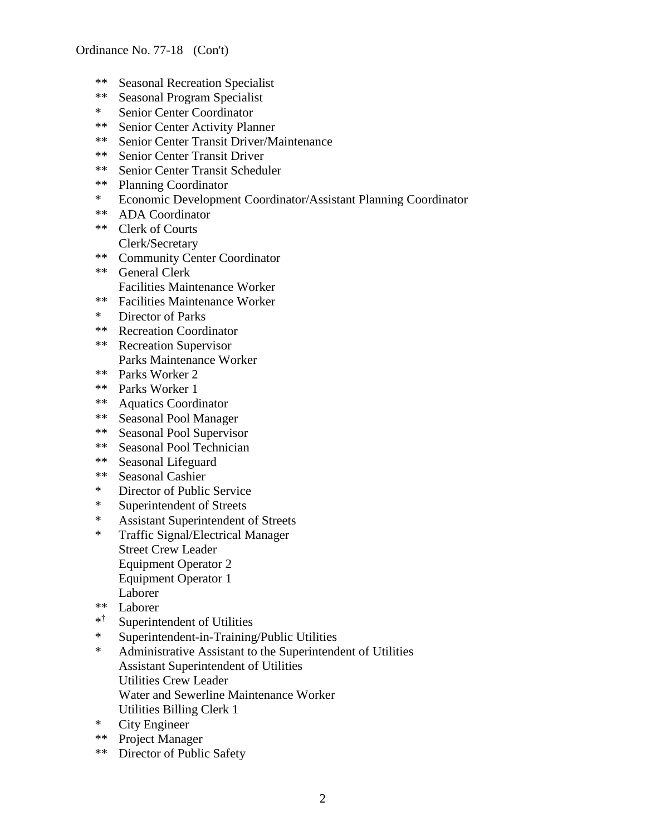- \*\* Seasonal Recreation Specialist
- \*\* Seasonal Program Specialist
- \* Senior Center Coordinator
- \*\* Senior Center Activity Planner
- \*\* Senior Center Transit Driver/Maintenance
- \*\* Senior Center Transit Driver
- \*\* Senior Center Transit Scheduler
- \*\* Planning Coordinator
- \* Economic Development Coordinator/Assistant Planning Coordinator<br>\*\*  $\Delta DA$  Coordinator
- ADA Coordinator
- \*\* Clerk of Courts Clerk/Secretary
- \*\* Community Center Coordinator
- \*\* General Clerk Facilities Maintenance Worker
- \*\* Facilities Maintenance Worker
- \* Director of Parks
- \*\* Recreation Coordinator
- \*\* Recreation Supervisor Parks Maintenance Worker
- \*\* Parks Worker 2
- \*\* Parks Worker 1
- \*\* Aquatics Coordinator
- \*\* Seasonal Pool Manager
- \*\* Seasonal Pool Supervisor
- \*\* Seasonal Pool Technician
- \*\* Seasonal Lifeguard
- \*\* Seasonal Cashier
- \* Director of Public Service
- \* Superintendent of Streets
- \* Assistant Superintendent of Streets
- \* Traffic Signal/Electrical Manager Street Crew Leader Equipment Operator 2 Equipment Operator 1 Laborer
- \*\* Laborer
- \* † Superintendent of Utilities
- \* Superintendent-in-Training/Public Utilities
- \* Administrative Assistant to the Superintendent of Utilities Assistant Superintendent of Utilities Utilities Crew Leader Water and Sewerline Maintenance Worker Utilities Billing Clerk 1
- \* City Engineer
- \*\* Project Manager
- \*\* Director of Public Safety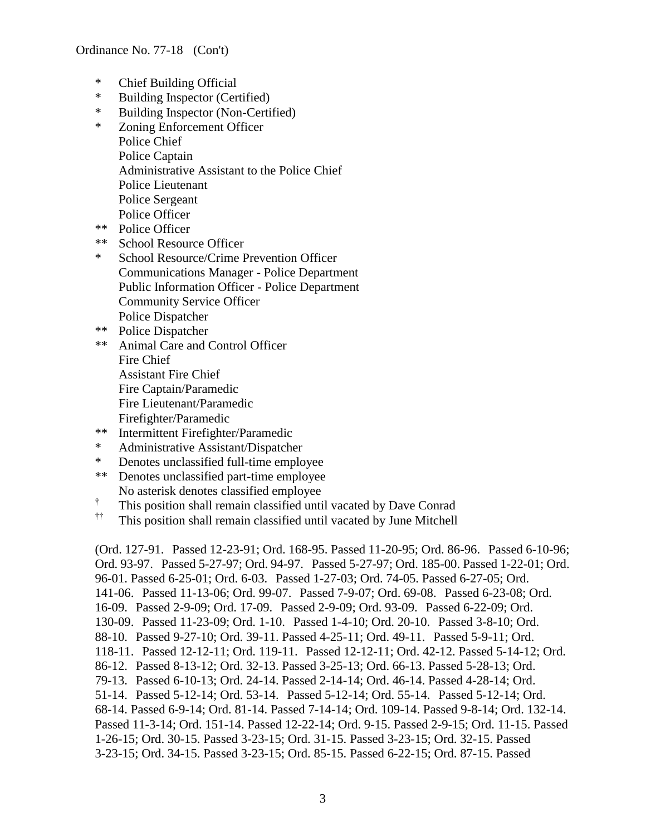- \* Chief Building Official
- \* Building Inspector (Certified)
- \* Building Inspector (Non-Certified)
- \* Zoning Enforcement Officer Police Chief Police Captain Administrative Assistant to the Police Chief Police Lieutenant Police Sergeant Police Officer
- \*\* Police Officer
- \*\* School Resource Officer
- \* School Resource/Crime Prevention Officer Communications Manager - Police Department Public Information Officer - Police Department Community Service Officer Police Dispatcher
- \*\* Police Dispatcher
- \*\* Animal Care and Control Officer Fire Chief Assistant Fire Chief Fire Captain/Paramedic Fire Lieutenant/Paramedic Firefighter/Paramedic
- \*\* Intermittent Firefighter/Paramedic
- \* Administrative Assistant/Dispatcher
- \* Denotes unclassified full-time employee<br>\*\* Denotes unclassified part-time employee
- Denotes unclassified part-time employee No asterisk denotes classified employee
- † This position shall remain classified until vacated by Dave Conrad
- †† This position shall remain classified until vacated by June Mitchell

(Ord. 127-91. Passed 12-23-91; Ord. 168-95. Passed 11-20-95; Ord. 86-96. Passed 6-10-96; Ord. 93-97. Passed 5-27-97; Ord. 94-97. Passed 5-27-97; Ord. 185-00. Passed 1-22-01; Ord. 96-01. Passed 6-25-01; Ord. 6-03. Passed 1-27-03; Ord. 74-05. Passed 6-27-05; Ord. 141-06. Passed 11-13-06; Ord. 99-07. Passed 7-9-07; Ord. 69-08. Passed 6-23-08; Ord. 16-09. Passed 2-9-09; Ord. 17-09. Passed 2-9-09; Ord. 93-09. Passed 6-22-09; Ord. 130-09. Passed 11-23-09; Ord. 1-10. Passed 1-4-10; Ord. 20-10. Passed 3-8-10; Ord. 88-10. Passed 9-27-10; Ord. 39-11. Passed 4-25-11; Ord. 49-11. Passed 5-9-11; Ord. 118-11. Passed 12-12-11; Ord. 119-11. Passed 12-12-11; Ord. 42-12. Passed 5-14-12; Ord. 86-12. Passed 8-13-12; Ord. 32-13. Passed 3-25-13; Ord. 66-13. Passed 5-28-13; Ord. 79-13. Passed 6-10-13; Ord. 24-14. Passed 2-14-14; Ord. 46-14. Passed 4-28-14; Ord. 51-14. Passed 5-12-14; Ord. 53-14. Passed 5-12-14; Ord. 55-14. Passed 5-12-14; Ord. 68-14. Passed 6-9-14; Ord. 81-14. Passed 7-14-14; Ord. 109-14. Passed 9-8-14; Ord. 132-14. Passed 11-3-14; Ord. 151-14. Passed 12-22-14; Ord. 9-15. Passed 2-9-15; Ord. 11-15. Passed 1-26-15; Ord. 30-15. Passed 3-23-15; Ord. 31-15. Passed 3-23-15; Ord. 32-15. Passed 3-23-15; Ord. 34-15. Passed 3-23-15; Ord. 85-15. Passed 6-22-15; Ord. 87-15. Passed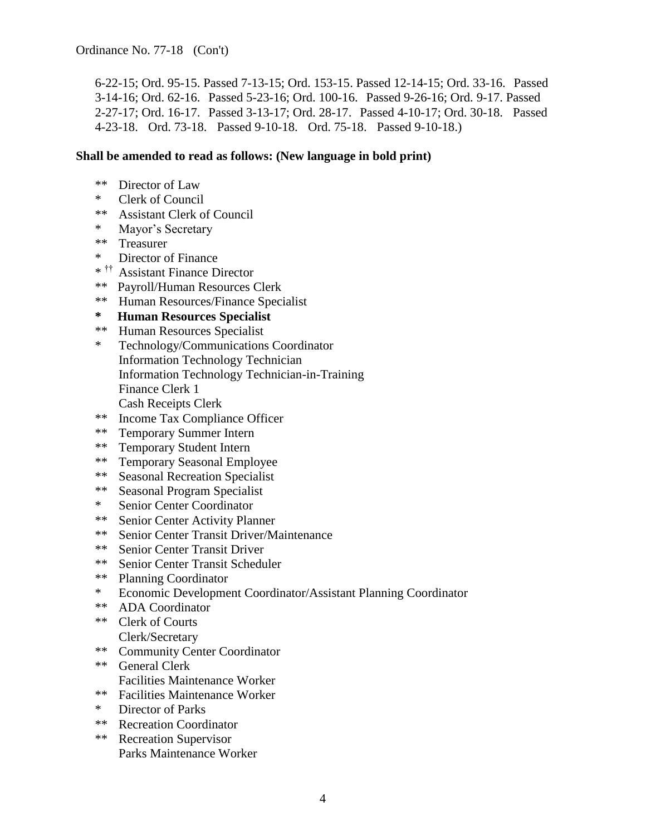6-22-15; Ord. 95-15. Passed 7-13-15; Ord. 153-15. Passed 12-14-15; Ord. 33-16. Passed 3-14-16; Ord. 62-16. Passed 5-23-16; Ord. 100-16. Passed 9-26-16; Ord. 9-17. Passed 2-27-17; Ord. 16-17. Passed 3-13-17; Ord. 28-17. Passed 4-10-17; Ord. 30-18. Passed 4-23-18. Ord. 73-18. Passed 9-10-18. Ord. 75-18. Passed 9-10-18.)

## **Shall be amended to read as follows: (New language in bold print)**

- \*\* Director of Law
- \* Clerk of Council
- \*\* Assistant Clerk of Council
- \* Mayor's Secretary
- \*\* Treasurer
- \* Director of Finance
- \* †† Assistant Finance Director
- \*\* Payroll/Human Resources Clerk
- \*\* Human Resources/Finance Specialist
- **\* Human Resources Specialist**
- \*\* Human Resources Specialist
- \* Technology/Communications Coordinator Information Technology Technician Information Technology Technician-in-Training Finance Clerk 1 Cash Receipts Clerk
- \*\* Income Tax Compliance Officer
- \*\* Temporary Summer Intern
- \*\* Temporary Student Intern
- \*\* Temporary Seasonal Employee
- \*\* Seasonal Recreation Specialist
- \*\* Seasonal Program Specialist
- \* Senior Center Coordinator
- \*\* Senior Center Activity Planner
- \*\* Senior Center Transit Driver/Maintenance
- \*\* Senior Center Transit Driver
- \*\* Senior Center Transit Scheduler
- \*\* Planning Coordinator
- \* Economic Development Coordinator/Assistant Planning Coordinator
- \*\* ADA Coordinator
- \*\* Clerk of Courts Clerk/Secretary
- \*\* Community Center Coordinator
- \*\* General Clerk Facilities Maintenance Worker
- \*\* Facilities Maintenance Worker
- \* Director of Parks
- \*\* Recreation Coordinator
- \*\* Recreation Supervisor Parks Maintenance Worker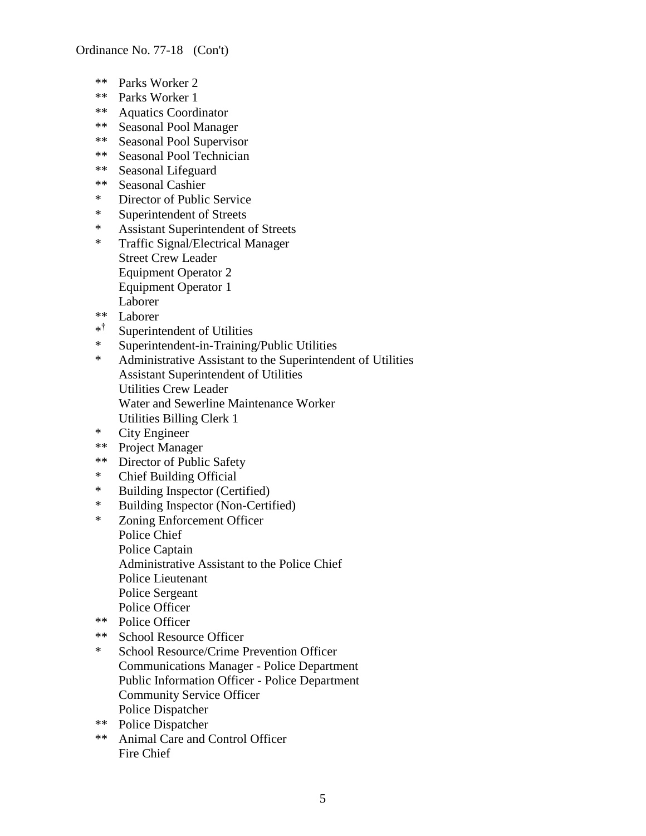- \*\* Parks Worker 2
- \*\* Parks Worker 1
- \*\* Aquatics Coordinator
- \*\* Seasonal Pool Manager
- \*\* Seasonal Pool Supervisor
- \*\* Seasonal Pool Technician
- \*\* Seasonal Lifeguard
- \*\* Seasonal Cashier
- \* Director of Public Service
- \* Superintendent of Streets<br>\* Assistant Superintendent of
- Assistant Superintendent of Streets
- \* Traffic Signal/Electrical Manager Street Crew Leader Equipment Operator 2 Equipment Operator 1 Laborer
- \*\* Laborer
- \* † Superintendent of Utilities
- \* Superintendent-in-Training/Public Utilities
- \* Administrative Assistant to the Superintendent of Utilities Assistant Superintendent of Utilities Utilities Crew Leader Water and Sewerline Maintenance Worker Utilities Billing Clerk 1
- \* City Engineer
- \*\* Project Manager
- \*\* Director of Public Safety
- \* Chief Building Official
- \* Building Inspector (Certified)
- \* Building Inspector (Non-Certified)
- \* Zoning Enforcement Officer Police Chief Police Captain Administrative Assistant to the Police Chief Police Lieutenant Police Sergeant Police Officer
- \*\* Police Officer
- \*\* School Resource Officer
- \* School Resource/Crime Prevention Officer Communications Manager - Police Department Public Information Officer - Police Department Community Service Officer Police Dispatcher
- \*\* Police Dispatcher
- \*\* Animal Care and Control Officer Fire Chief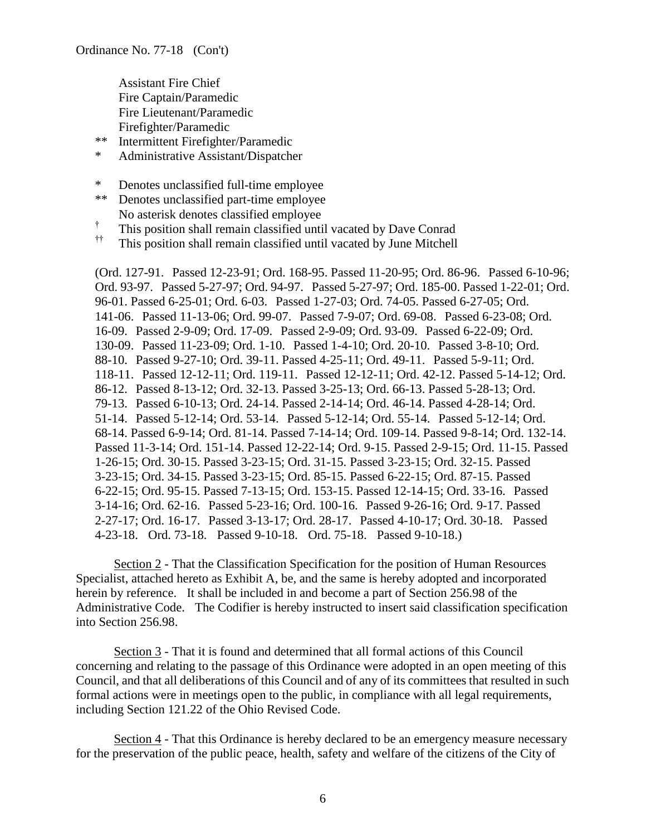Assistant Fire Chief Fire Captain/Paramedic Fire Lieutenant/Paramedic Firefighter/Paramedic

- \*\* Intermittent Firefighter/Paramedic
- \* Administrative Assistant/Dispatcher
- \* Denotes unclassified full-time employee
- \*\* Denotes unclassified part-time employee No asterisk denotes classified employee
- † This position shall remain classified until vacated by Dave Conrad
- †† This position shall remain classified until vacated by June Mitchell

(Ord. 127-91. Passed 12-23-91; Ord. 168-95. Passed 11-20-95; Ord. 86-96. Passed 6-10-96; Ord. 93-97. Passed 5-27-97; Ord. 94-97. Passed 5-27-97; Ord. 185-00. Passed 1-22-01; Ord. 96-01. Passed 6-25-01; Ord. 6-03. Passed 1-27-03; Ord. 74-05. Passed 6-27-05; Ord. 141-06. Passed 11-13-06; Ord. 99-07. Passed 7-9-07; Ord. 69-08. Passed 6-23-08; Ord. 16-09. Passed 2-9-09; Ord. 17-09. Passed 2-9-09; Ord. 93-09. Passed 6-22-09; Ord. 130-09. Passed 11-23-09; Ord. 1-10. Passed 1-4-10; Ord. 20-10. Passed 3-8-10; Ord. 88-10. Passed 9-27-10; Ord. 39-11. Passed 4-25-11; Ord. 49-11. Passed 5-9-11; Ord. 118-11. Passed 12-12-11; Ord. 119-11. Passed 12-12-11; Ord. 42-12. Passed 5-14-12; Ord. 86-12. Passed 8-13-12; Ord. 32-13. Passed 3-25-13; Ord. 66-13. Passed 5-28-13; Ord. 79-13. Passed 6-10-13; Ord. 24-14. Passed 2-14-14; Ord. 46-14. Passed 4-28-14; Ord. 51-14. Passed 5-12-14; Ord. 53-14. Passed 5-12-14; Ord. 55-14. Passed 5-12-14; Ord. 68-14. Passed 6-9-14; Ord. 81-14. Passed 7-14-14; Ord. 109-14. Passed 9-8-14; Ord. 132-14. Passed 11-3-14; Ord. 151-14. Passed 12-22-14; Ord. 9-15. Passed 2-9-15; Ord. 11-15. Passed 1-26-15; Ord. 30-15. Passed 3-23-15; Ord. 31-15. Passed 3-23-15; Ord. 32-15. Passed 3-23-15; Ord. 34-15. Passed 3-23-15; Ord. 85-15. Passed 6-22-15; Ord. 87-15. Passed 6-22-15; Ord. 95-15. Passed 7-13-15; Ord. 153-15. Passed 12-14-15; Ord. 33-16. Passed 3-14-16; Ord. 62-16. Passed 5-23-16; Ord. 100-16. Passed 9-26-16; Ord. 9-17. Passed 2-27-17; Ord. 16-17. Passed 3-13-17; Ord. 28-17. Passed 4-10-17; Ord. 30-18. Passed 4-23-18. Ord. 73-18. Passed 9-10-18. Ord. 75-18. Passed 9-10-18.)

Section 2 - That the Classification Specification for the position of Human Resources Specialist, attached hereto as Exhibit A, be, and the same is hereby adopted and incorporated herein by reference. It shall be included in and become a part of Section 256.98 of the Administrative Code. The Codifier is hereby instructed to insert said classification specification into Section 256.98.

Section 3 - That it is found and determined that all formal actions of this Council concerning and relating to the passage of this Ordinance were adopted in an open meeting of this Council, and that all deliberations of this Council and of any of its committees that resulted in such formal actions were in meetings open to the public, in compliance with all legal requirements, including Section 121.22 of the Ohio Revised Code.

Section 4 - That this Ordinance is hereby declared to be an emergency measure necessary for the preservation of the public peace, health, safety and welfare of the citizens of the City of